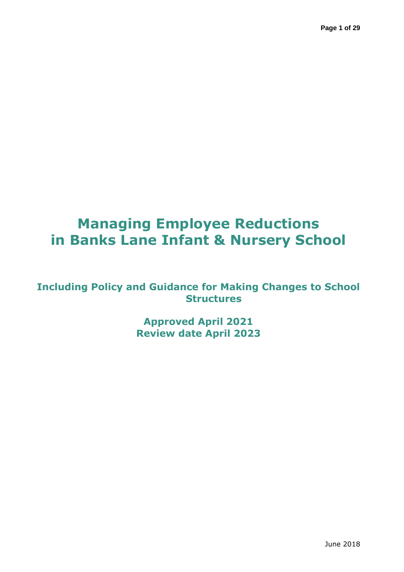# **Managing Employee Reductions in Banks Lane Infant & Nursery School**

### **Including Policy and Guidance for Making Changes to School Structures**

**Approved April 2021 Review date April 2023**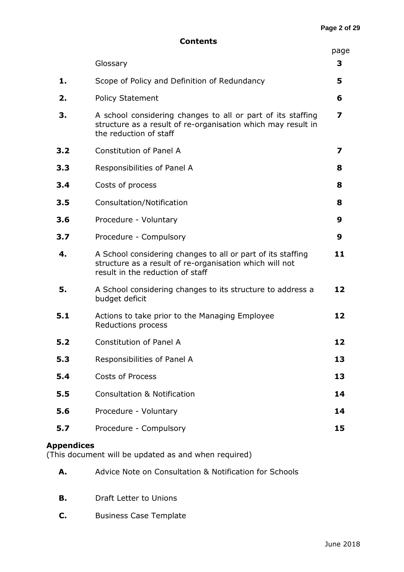|     | Glossary                                                                                                                                                   | 3  |  |  |  |  |
|-----|------------------------------------------------------------------------------------------------------------------------------------------------------------|----|--|--|--|--|
| 1.  | Scope of Policy and Definition of Redundancy                                                                                                               | 5  |  |  |  |  |
| 2.  | <b>Policy Statement</b>                                                                                                                                    |    |  |  |  |  |
| 3.  | A school considering changes to all or part of its staffing<br>structure as a result of re-organisation which may result in<br>the reduction of staff      |    |  |  |  |  |
| 3.2 | Constitution of Panel A                                                                                                                                    |    |  |  |  |  |
| 3.3 | Responsibilities of Panel A                                                                                                                                |    |  |  |  |  |
| 3.4 | Costs of process                                                                                                                                           |    |  |  |  |  |
| 3.5 | Consultation/Notification                                                                                                                                  | 8  |  |  |  |  |
| 3.6 | Procedure - Voluntary                                                                                                                                      |    |  |  |  |  |
| 3.7 | Procedure - Compulsory                                                                                                                                     | 9  |  |  |  |  |
| 4.  | A School considering changes to all or part of its staffing<br>structure as a result of re-organisation which will not<br>result in the reduction of staff |    |  |  |  |  |
| 5.  | A School considering changes to its structure to address a<br>budget deficit                                                                               |    |  |  |  |  |
| 5.1 | Actions to take prior to the Managing Employee<br>Reductions process                                                                                       |    |  |  |  |  |
| 5.2 | Constitution of Panel A                                                                                                                                    |    |  |  |  |  |
| 5.3 | Responsibilities of Panel A                                                                                                                                |    |  |  |  |  |
| 5.4 | <b>Costs of Process</b>                                                                                                                                    |    |  |  |  |  |
| 5.5 | <b>Consultation &amp; Notification</b>                                                                                                                     | 14 |  |  |  |  |
| 5.6 | Procedure - Voluntary                                                                                                                                      | 14 |  |  |  |  |
| 5.7 | Procedure - Compulsory                                                                                                                                     | 15 |  |  |  |  |
|     |                                                                                                                                                            |    |  |  |  |  |

### **Appendices**

(This document will be updated as and when required)

- **A.** Advice Note on Consultation & Notification for Schools
- **B.** Draft Letter to Unions
- **C.** Business Case Template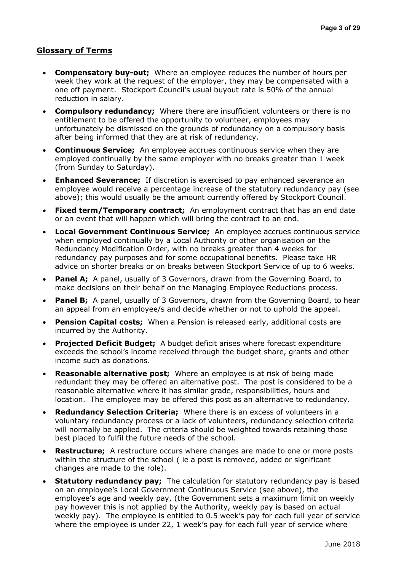#### **Glossary of Terms**

- **Compensatory buy-out;** Where an employee reduces the number of hours per week they work at the request of the employer, they may be compensated with a one off payment. Stockport Council's usual buyout rate is 50% of the annual reduction in salary.
- **Compulsory redundancy;** Where there are insufficient volunteers or there is no entitlement to be offered the opportunity to volunteer, employees may unfortunately be dismissed on the grounds of redundancy on a compulsory basis after being informed that they are at risk of redundancy.
- **Continuous Service;** An employee accrues continuous service when they are employed continually by the same employer with no breaks greater than 1 week (from Sunday to Saturday).
- **Enhanced Severance;** If discretion is exercised to pay enhanced severance an employee would receive a percentage increase of the statutory redundancy pay (see above); this would usually be the amount currently offered by Stockport Council.
- **Fixed term/Temporary contract;** An employment contract that has an end date or an event that will happen which will bring the contract to an end.
- **Local Government Continuous Service;** An employee accrues continuous service when employed continually by a Local Authority or other organisation on the Redundancy Modification Order, with no breaks greater than 4 weeks for redundancy pay purposes and for some occupational benefits. Please take HR advice on shorter breaks or on breaks between Stockport Service of up to 6 weeks.
- **Panel A;** A panel, usually of 3 Governors, drawn from the Governing Board, to make decisions on their behalf on the Managing Employee Reductions process.
- **Panel B;** A panel, usually of 3 Governors, drawn from the Governing Board, to hear an appeal from an employee/s and decide whether or not to uphold the appeal.
- **Pension Capital costs;** When a Pension is released early, additional costs are incurred by the Authority.
- **Projected Deficit Budget;** A budget deficit arises where forecast expenditure exceeds the school's income received through the budget share, grants and other income such as donations.
- **Reasonable alternative post;** Where an employee is at risk of being made redundant they may be offered an alternative post. The post is considered to be a reasonable alternative where it has similar grade, responsibilities, hours and location. The employee may be offered this post as an alternative to redundancy.
- **Redundancy Selection Criteria;** Where there is an excess of volunteers in a voluntary redundancy process or a lack of volunteers, redundancy selection criteria will normally be applied. The criteria should be weighted towards retaining those best placed to fulfil the future needs of the school.
- **Restructure;** A restructure occurs where changes are made to one or more posts within the structure of the school ( ie a post is removed, added or significant changes are made to the role).
- **Statutory redundancy pay;** The calculation for statutory redundancy pay is based on an employee's Local Government Continuous Service (see above), the employee's age and weekly pay, (the Government sets a maximum limit on weekly pay however this is not applied by the Authority, weekly pay is based on actual weekly pay). The employee is entitled to 0.5 week's pay for each full year of service where the employee is under 22, 1 week's pay for each full year of service where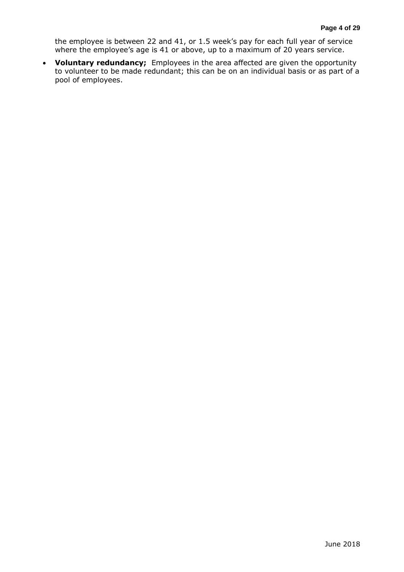the employee is between 22 and 41, or 1.5 week's pay for each full year of service where the employee's age is 41 or above, up to a maximum of 20 years service.

 **Voluntary redundancy;** Employees in the area affected are given the opportunity to volunteer to be made redundant; this can be on an individual basis or as part of a pool of employees.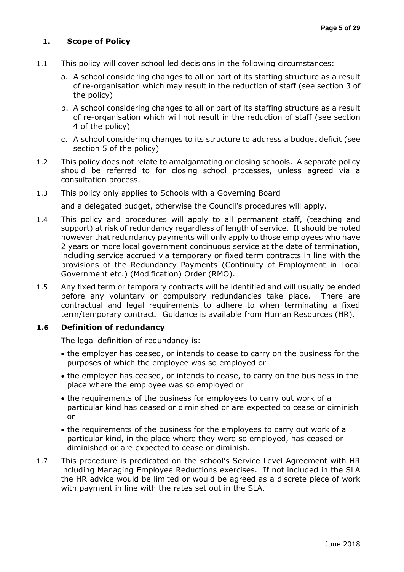#### **1. Scope of Policy**

- 1.1 This policy will cover school led decisions in the following circumstances:
	- a. A school considering changes to all or part of its staffing structure as a result of re-organisation which may result in the reduction of staff (see section 3 of the policy)
	- b. A school considering changes to all or part of its staffing structure as a result of re-organisation which will not result in the reduction of staff (see section 4 of the policy)
	- c. A school considering changes to its structure to address a budget deficit (see section 5 of the policy)
- 1.2 This policy does not relate to amalgamating or closing schools. A separate policy should be referred to for closing school processes, unless agreed via a consultation process.
- 1.3 This policy only applies to Schools with a Governing Board

and a delegated budget, otherwise the Council's procedures will apply.

- 1.4 This policy and procedures will apply to all permanent staff, (teaching and support) at risk of redundancy regardless of length of service. It should be noted however that redundancy payments will only apply to those employees who have 2 years or more local government continuous service at the date of termination, including service accrued via temporary or fixed term contracts in line with the provisions of the [Redundancy Payments \(Continuity of Employment in Local](http://www.legislation.gov.uk/uksi/2010/903/contents/made)  [Government etc.\) \(Modification\) Order \(RMO\)](http://www.legislation.gov.uk/uksi/2010/903/contents/made).
- 1.5 Any fixed term or temporary contracts will be identified and will usually be ended before any voluntary or compulsory redundancies take place. There are contractual and legal requirements to adhere to when terminating a fixed term/temporary contract. Guidance is available from Human Resources (HR).

#### **1.6 Definition of redundancy**

The legal definition of redundancy is:

- the employer has ceased, or intends to cease to carry on the business for the purposes of which the employee was so employed or
- the employer has ceased, or intends to cease, to carry on the business in the place where the employee was so employed or
- the requirements of the business for employees to carry out work of a particular kind has ceased or diminished or are expected to cease or diminish or
- the requirements of the business for the employees to carry out work of a particular kind, in the place where they were so employed, has ceased or diminished or are expected to cease or diminish.
- 1.7 This procedure is predicated on the school's Service Level Agreement with HR including Managing Employee Reductions exercises. If not included in the SLA the HR advice would be limited or would be agreed as a discrete piece of work with payment in line with the rates set out in the SLA.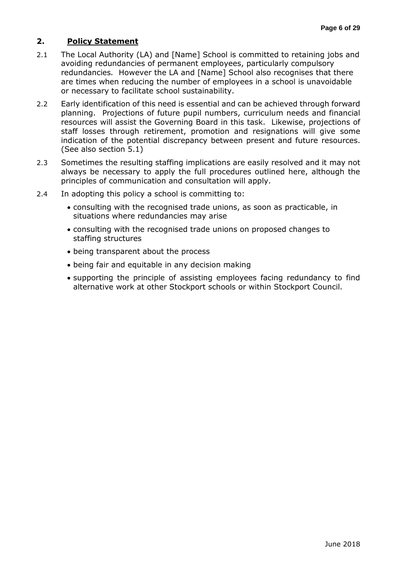#### **2. Policy Statement**

- 2.1 The Local Authority (LA) and [Name] School is committed to retaining jobs and avoiding redundancies of permanent employees, particularly compulsory redundancies*.* However the LA and [Name] School also recognises that there are times when reducing the number of employees in a school is unavoidable or necessary to facilitate school sustainability.
- 2.2 Early identification of this need is essential and can be achieved through forward planning. Projections of future pupil numbers, curriculum needs and financial resources will assist the Governing Board in this task. Likewise, projections of staff losses through retirement, promotion and resignations will give some indication of the potential discrepancy between present and future resources. (See also section 5.1)
- 2.3 Sometimes the resulting staffing implications are easily resolved and it may not always be necessary to apply the full procedures outlined here, although the principles of communication and consultation will apply.
- 2.4 In adopting this policy a school is committing to:
	- consulting with the recognised trade unions, as soon as practicable, in situations where redundancies may arise
	- consulting with the recognised trade unions on proposed changes to staffing structures
	- being transparent about the process
	- being fair and equitable in any decision making
	- supporting the principle of assisting employees facing redundancy to find alternative work at other Stockport schools or within Stockport Council.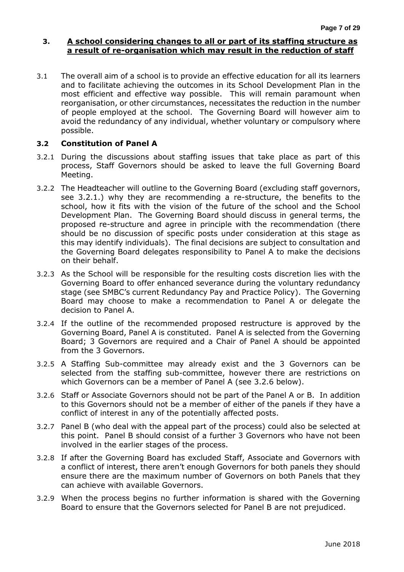#### **3. A school considering changes to all or part of its staffing structure as a result of re-organisation which may result in the reduction of staff**

3.1 The overall aim of a school is to provide an effective education for all its learners and to facilitate achieving the outcomes in its School Development Plan in the most efficient and effective way possible. This will remain paramount when reorganisation, or other circumstances, necessitates the reduction in the number of people employed at the school. The Governing Board will however aim to avoid the redundancy of any individual, whether voluntary or compulsory where possible.

#### **3.2 Constitution of Panel A**

- 3.2.1 During the discussions about staffing issues that take place as part of this process, Staff Governors should be asked to leave the full Governing Board Meeting.
- 3.2.2 The Headteacher will outline to the Governing Board (excluding staff governors, see 3.2.1.) why they are recommending a re-structure, the benefits to the school, how it fits with the vision of the future of the school and the School Development Plan. The Governing Board should discuss in general terms, the proposed re-structure and agree in principle with the recommendation (there should be no discussion of specific posts under consideration at this stage as this may identify individuals). The final decisions are subject to consultation and the Governing Board delegates responsibility to Panel A to make the decisions on their behalf.
- 3.2.3 As the School will be responsible for the resulting costs discretion lies with the Governing Board to offer enhanced severance during the voluntary redundancy stage (see SMBC's current Redundancy Pay and Practice Policy). The Governing Board may choose to make a recommendation to Panel A or delegate the decision to Panel A.
- 3.2.4 If the outline of the recommended proposed restructure is approved by the Governing Board, Panel A is constituted. Panel A is selected from the Governing Board; 3 Governors are required and a Chair of Panel A should be appointed from the 3 Governors.
- 3.2.5 A Staffing Sub-committee may already exist and the 3 Governors can be selected from the staffing sub-committee, however there are restrictions on which Governors can be a member of Panel A (see 3.2.6 below).
- 3.2.6 Staff or Associate Governors should not be part of the Panel A or B. In addition to this Governors should not be a member of either of the panels if they have a conflict of interest in any of the potentially affected posts.
- 3.2.7 Panel B (who deal with the appeal part of the process) could also be selected at this point. Panel B should consist of a further 3 Governors who have not been involved in the earlier stages of the process.
- 3.2.8 If after the Governing Board has excluded Staff, Associate and Governors with a conflict of interest, there aren't enough Governors for both panels they should ensure there are the maximum number of Governors on both Panels that they can achieve with available Governors.
- 3.2.9 When the process begins no further information is shared with the Governing Board to ensure that the Governors selected for Panel B are not prejudiced.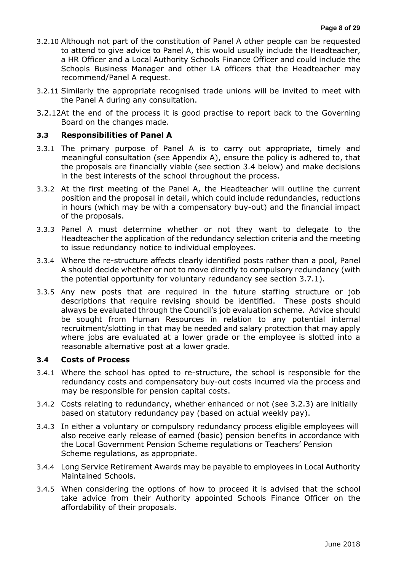- 3.2.10 Although not part of the constitution of Panel A other people can be requested to attend to give advice to Panel A, this would usually include the Headteacher, a HR Officer and a Local Authority Schools Finance Officer and could include the Schools Business Manager and other LA officers that the Headteacher may recommend/Panel A request.
- 3.2.11 Similarly the appropriate recognised trade unions will be invited to meet with the Panel A during any consultation.
- 3.2.12At the end of the process it is good practise to report back to the Governing Board on the changes made.

#### **3.3 Responsibilities of Panel A**

- 3.3.1 The primary purpose of Panel A is to carry out appropriate, timely and meaningful consultation (see Appendix A), ensure the policy is adhered to, that the proposals are financially viable (see section 3.4 below) and make decisions in the best interests of the school throughout the process.
- 3.3.2 At the first meeting of the Panel A, the Headteacher will outline the current position and the proposal in detail, which could include redundancies, reductions in hours (which may be with a compensatory buy-out) and the financial impact of the proposals.
- 3.3.3 Panel A must determine whether or not they want to delegate to the Headteacher the application of the redundancy selection criteria and the meeting to issue redundancy notice to individual employees.
- 3.3.4 Where the re-structure affects clearly identified posts rather than a pool, Panel A should decide whether or not to move directly to compulsory redundancy (with the potential opportunity for voluntary redundancy see section 3.7.1).
- 3.3.5 Any new posts that are required in the future staffing structure or job descriptions that require revising should be identified. These posts should always be evaluated through the Council's job evaluation scheme. Advice should be sought from Human Resources in relation to any potential internal recruitment/slotting in that may be needed and salary protection that may apply where jobs are evaluated at a lower grade or the employee is slotted into a reasonable alternative post at a lower grade.

#### **3.4 Costs of Process**

- 3.4.1 Where the school has opted to re-structure, the school is responsible for the redundancy costs and compensatory buy-out costs incurred via the process and may be responsible for pension capital costs.
- 3.4.2 Costs relating to redundancy, whether enhanced or not (see 3.2.3) are initially based on statutory redundancy pay (based on actual weekly pay).
- 3.4.3 In either a voluntary or compulsory redundancy process eligible employees will also receive early release of earned (basic) pension benefits in accordance with the Local Government Pension Scheme regulations or Teachers' Pension Scheme regulations, as appropriate.
- 3.4.4 Long Service Retirement Awards may be payable to employees in Local Authority Maintained Schools.
- 3.4.5 When considering the options of how to proceed it is advised that the school take advice from their Authority appointed Schools Finance Officer on the affordability of their proposals.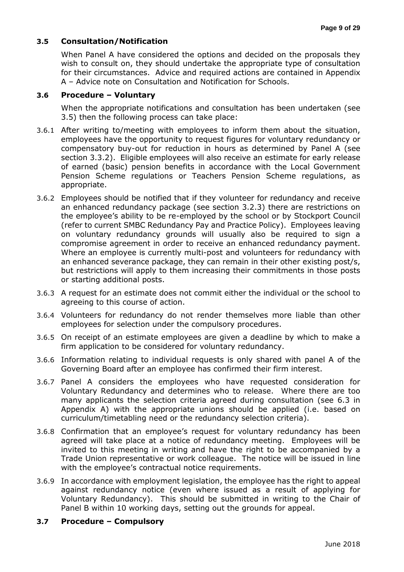#### **3.5 Consultation/Notification**

When Panel A have considered the options and decided on the proposals they wish to consult on, they should undertake the appropriate type of consultation for their circumstances. Advice and required actions are contained in Appendix A – Advice note on Consultation and Notification for Schools.

#### **3.6 Procedure – Voluntary**

When the appropriate notifications and consultation has been undertaken (see 3.5) then the following process can take place:

- 3.6.1 After writing to/meeting with employees to inform them about the situation, employees have the opportunity to request figures for voluntary redundancy or compensatory buy-out for reduction in hours as determined by Panel A (see section 3.3.2). Eligible employees will also receive an estimate for early release of earned (basic) pension benefits in accordance with the Local Government Pension Scheme regulations or Teachers Pension Scheme regulations, as appropriate.
- 3.6.2 Employees should be notified that if they volunteer for redundancy and receive an enhanced redundancy package (see section 3.2.3) there are restrictions on the employee's ability to be re-employed by the school or by Stockport Council (refer to current SMBC Redundancy Pay and Practice Policy). Employees leaving on voluntary redundancy grounds will usually also be required to sign a compromise agreement in order to receive an enhanced redundancy payment. Where an employee is currently multi-post and volunteers for redundancy with an enhanced severance package, they can remain in their other existing post/s, but restrictions will apply to them increasing their commitments in those posts or starting additional posts.
- 3.6.3 A request for an estimate does not commit either the individual or the school to agreeing to this course of action.
- 3.6.4 Volunteers for redundancy do not render themselves more liable than other employees for selection under the compulsory procedures.
- 3.6.5 On receipt of an estimate employees are given a deadline by which to make a firm application to be considered for voluntary redundancy.
- 3.6.6 Information relating to individual requests is only shared with panel A of the Governing Board after an employee has confirmed their firm interest.
- 3.6.7 Panel A considers the employees who have requested consideration for Voluntary Redundancy and determines who to release. Where there are too many applicants the selection criteria agreed during consultation (see 6.3 in Appendix A) with the appropriate unions should be applied (i.e. based on curriculum/timetabling need or the redundancy selection criteria).
- 3.6.8 Confirmation that an employee's request for voluntary redundancy has been agreed will take place at a notice of redundancy meeting. Employees will be invited to this meeting in writing and have the right to be accompanied by a Trade Union representative or work colleague. The notice will be issued in line with the employee's contractual notice requirements.
- 3.6.9 In accordance with employment legislation, the employee has the right to appeal against redundancy notice (even where issued as a result of applying for Voluntary Redundancy). This should be submitted in writing to the Chair of Panel B within 10 working days, setting out the grounds for appeal.

#### **3.7 Procedure – Compulsory**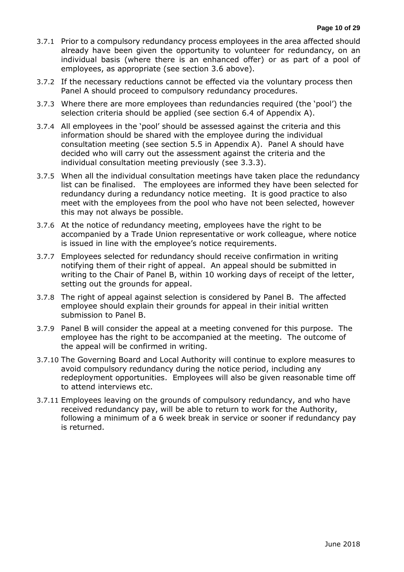- 3.7.1 Prior to a compulsory redundancy process employees in the area affected should already have been given the opportunity to volunteer for redundancy, on an individual basis (where there is an enhanced offer) or as part of a pool of employees, as appropriate (see section 3.6 above).
- 3.7.2 If the necessary reductions cannot be effected via the voluntary process then Panel A should proceed to compulsory redundancy procedures.
- 3.7.3 Where there are more employees than redundancies required (the 'pool') the selection criteria should be applied (see section 6.4 of Appendix A).
- 3.7.4 All employees in the 'pool' should be assessed against the criteria and this information should be shared with the employee during the individual consultation meeting (see section 5.5 in Appendix A). Panel A should have decided who will carry out the assessment against the criteria and the individual consultation meeting previously (see 3.3.3).
- 3.7.5 When all the individual consultation meetings have taken place the redundancy list can be finalised. The employees are informed they have been selected for redundancy during a redundancy notice meeting. It is good practice to also meet with the employees from the pool who have not been selected, however this may not always be possible.
- 3.7.6 At the notice of redundancy meeting, employees have the right to be accompanied by a Trade Union representative or work colleague, where notice is issued in line with the employee's notice requirements.
- 3.7.7 Employees selected for redundancy should receive confirmation in writing notifying them of their right of appeal. An appeal should be submitted in writing to the Chair of Panel B, within 10 working days of receipt of the letter, setting out the grounds for appeal.
- 3.7.8 The right of appeal against selection is considered by Panel B. The affected employee should explain their grounds for appeal in their initial written submission to Panel B.
- 3.7.9 Panel B will consider the appeal at a meeting convened for this purpose. The employee has the right to be accompanied at the meeting. The outcome of the appeal will be confirmed in writing.
- 3.7.10 The Governing Board and Local Authority will continue to explore measures to avoid compulsory redundancy during the notice period, including any redeployment opportunities. Employees will also be given reasonable time off to attend interviews etc.
- 3.7.11 Employees leaving on the grounds of compulsory redundancy, and who have received redundancy pay, will be able to return to work for the Authority, following a minimum of a 6 week break in service or sooner if redundancy pay is returned.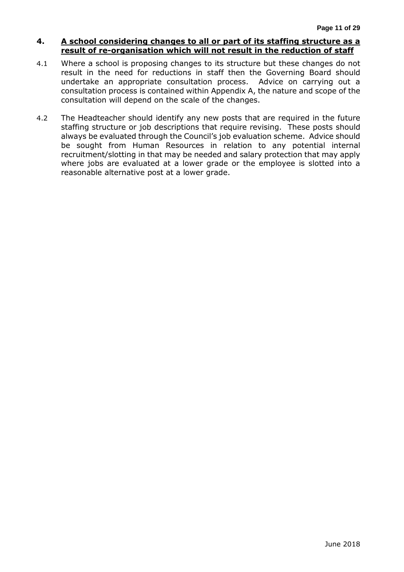#### **4. A school considering changes to all or part of its staffing structure as a result of re-organisation which will not result in the reduction of staff**

- 4.1 Where a school is proposing changes to its structure but these changes do not result in the need for reductions in staff then the Governing Board should undertake an appropriate consultation process. Advice on carrying out a consultation process is contained within Appendix A, the nature and scope of the consultation will depend on the scale of the changes.
- 4.2 The Headteacher should identify any new posts that are required in the future staffing structure or job descriptions that require revising. These posts should always be evaluated through the Council's job evaluation scheme. Advice should be sought from Human Resources in relation to any potential internal recruitment/slotting in that may be needed and salary protection that may apply where jobs are evaluated at a lower grade or the employee is slotted into a reasonable alternative post at a lower grade.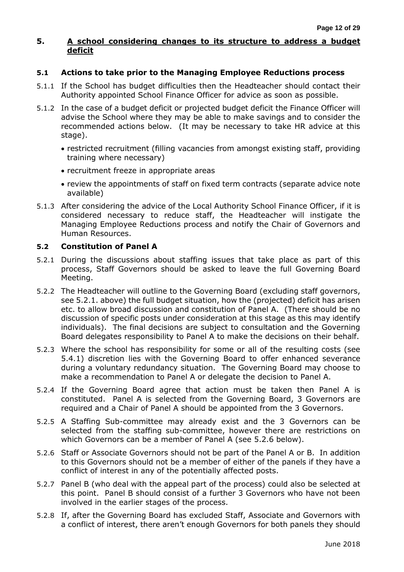#### **5. A school considering changes to its structure to address a budget deficit**

#### **5.1 Actions to take prior to the Managing Employee Reductions process**

- 5.1.1 If the School has budget difficulties then the Headteacher should contact their Authority appointed School Finance Officer for advice as soon as possible.
- 5.1.2 In the case of a budget deficit or projected budget deficit the Finance Officer will advise the School where they may be able to make savings and to consider the recommended actions below. (It may be necessary to take HR advice at this stage).
	- restricted recruitment (filling vacancies from amongst existing staff, providing training where necessary)
	- recruitment freeze in appropriate areas
	- review the appointments of staff on fixed term contracts (separate advice note available)
- 5.1.3 After considering the advice of the Local Authority School Finance Officer, if it is considered necessary to reduce staff, the Headteacher will instigate the Managing Employee Reductions process and notify the Chair of Governors and Human Resources.

#### **5.2 Constitution of Panel A**

- 5.2.1 During the discussions about staffing issues that take place as part of this process, Staff Governors should be asked to leave the full Governing Board Meeting.
- 5.2.2 The Headteacher will outline to the Governing Board (excluding staff governors, see 5.2.1. above) the full budget situation, how the (projected) deficit has arisen etc. to allow broad discussion and constitution of Panel A. (There should be no discussion of specific posts under consideration at this stage as this may identify individuals). The final decisions are subject to consultation and the Governing Board delegates responsibility to Panel A to make the decisions on their behalf.
- 5.2.3 Where the school has responsibility for some or all of the resulting costs (see 5.4.1) discretion lies with the Governing Board to offer enhanced severance during a voluntary redundancy situation. The Governing Board may choose to make a recommendation to Panel A or delegate the decision to Panel A.
- 5.2.4 If the Governing Board agree that action must be taken then Panel A is constituted. Panel A is selected from the Governing Board, 3 Governors are required and a Chair of Panel A should be appointed from the 3 Governors.
- 5.2.5 A Staffing Sub-committee may already exist and the 3 Governors can be selected from the staffing sub-committee, however there are restrictions on which Governors can be a member of Panel A (see 5.2.6 below).
- 5.2.6 Staff or Associate Governors should not be part of the Panel A or B. In addition to this Governors should not be a member of either of the panels if they have a conflict of interest in any of the potentially affected posts.
- 5.2.7 Panel B (who deal with the appeal part of the process) could also be selected at this point. Panel B should consist of a further 3 Governors who have not been involved in the earlier stages of the process.
- 5.2.8 If, after the Governing Board has excluded Staff, Associate and Governors with a conflict of interest, there aren't enough Governors for both panels they should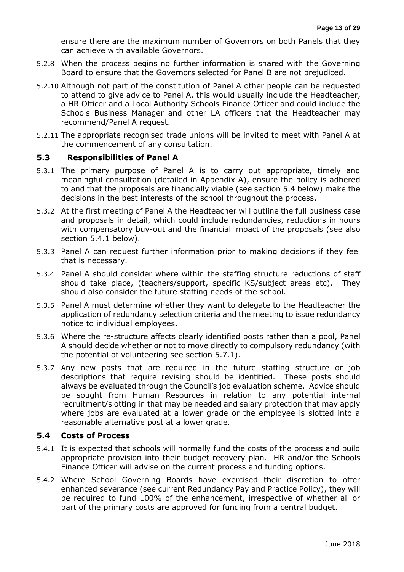ensure there are the maximum number of Governors on both Panels that they can achieve with available Governors.

- 5.2.8 When the process begins no further information is shared with the Governing Board to ensure that the Governors selected for Panel B are not prejudiced.
- 5.2.10 Although not part of the constitution of Panel A other people can be requested to attend to give advice to Panel A, this would usually include the Headteacher, a HR Officer and a Local Authority Schools Finance Officer and could include the Schools Business Manager and other LA officers that the Headteacher may recommend/Panel A request.
- 5.2.11 The appropriate recognised trade unions will be invited to meet with Panel A at the commencement of any consultation.

#### **5.3 Responsibilities of Panel A**

- 5.3.1 The primary purpose of Panel A is to carry out appropriate, timely and meaningful consultation (detailed in Appendix A), ensure the policy is adhered to and that the proposals are financially viable (see section 5.4 below) make the decisions in the best interests of the school throughout the process.
- 5.3.2 At the first meeting of Panel A the Headteacher will outline the full business case and proposals in detail, which could include redundancies, reductions in hours with compensatory buy-out and the financial impact of the proposals (see also section 5.4.1 below).
- 5.3.3 Panel A can request further information prior to making decisions if they feel that is necessary.
- 5.3.4 Panel A should consider where within the staffing structure reductions of staff should take place, (teachers/support, specific KS/subject areas etc). They should also consider the future staffing needs of the school.
- 5.3.5 Panel A must determine whether they want to delegate to the Headteacher the application of redundancy selection criteria and the meeting to issue redundancy notice to individual employees.
- 5.3.6 Where the re-structure affects clearly identified posts rather than a pool, Panel A should decide whether or not to move directly to compulsory redundancy (with the potential of volunteering see section 5.7.1).
- 5.3.7 Any new posts that are required in the future staffing structure or job descriptions that require revising should be identified. These posts should always be evaluated through the Council's job evaluation scheme. Advice should be sought from Human Resources in relation to any potential internal recruitment/slotting in that may be needed and salary protection that may apply where jobs are evaluated at a lower grade or the employee is slotted into a reasonable alternative post at a lower grade.

#### **5.4 Costs of Process**

- 5.4.1 It is expected that schools will normally fund the costs of the process and build appropriate provision into their budget recovery plan. HR and/or the Schools Finance Officer will advise on the current process and funding options.
- 5.4.2 Where School Governing Boards have exercised their discretion to offer enhanced severance (see current Redundancy Pay and Practice Policy), they will be required to fund 100% of the enhancement, irrespective of whether all or part of the primary costs are approved for funding from a central budget.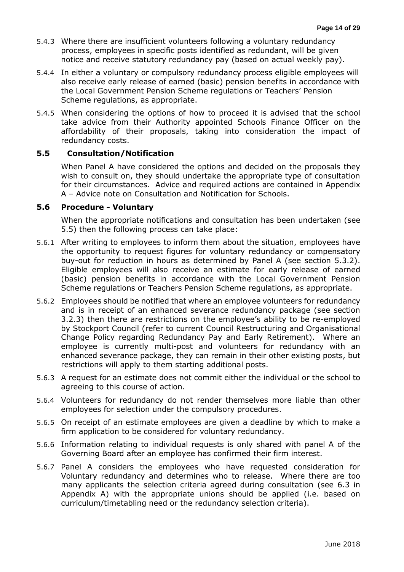- 5.4.3 Where there are insufficient volunteers following a voluntary redundancy process, employees in specific posts identified as redundant, will be given notice and receive statutory redundancy pay (based on actual weekly pay).
- 5.4.4 In either a voluntary or compulsory redundancy process eligible employees will also receive early release of earned (basic) pension benefits in accordance with the Local Government Pension Scheme regulations or Teachers' Pension Scheme regulations, as appropriate.
- 5.4.5 When considering the options of how to proceed it is advised that the school take advice from their Authority appointed Schools Finance Officer on the affordability of their proposals, taking into consideration the impact of redundancy costs.

#### **5.5 Consultation/Notification**

When Panel A have considered the options and decided on the proposals they wish to consult on, they should undertake the appropriate type of consultation for their circumstances. Advice and required actions are contained in Appendix A – Advice note on Consultation and Notification for Schools.

#### **5.6 Procedure - Voluntary**

When the appropriate notifications and consultation has been undertaken (see 5.5) then the following process can take place:

- 5.6.1 After writing to employees to inform them about the situation, employees have the opportunity to request figures for voluntary redundancy or compensatory buy-out for reduction in hours as determined by Panel A (see section 5.3.2). Eligible employees will also receive an estimate for early release of earned (basic) pension benefits in accordance with the Local Government Pension Scheme regulations or Teachers Pension Scheme regulations, as appropriate.
- 5.6.2 Employees should be notified that where an employee volunteers for redundancy and is in receipt of an enhanced severance redundancy package (see section 3.2.3) then there are restrictions on the employee's ability to be re-employed by Stockport Council (refer to current Council Restructuring and Organisational Change Policy regarding Redundancy Pay and Early Retirement). Where an employee is currently multi-post and volunteers for redundancy with an enhanced severance package, they can remain in their other existing posts, but restrictions will apply to them starting additional posts.
- 5.6.3 A request for an estimate does not commit either the individual or the school to agreeing to this course of action.
- 5.6.4 Volunteers for redundancy do not render themselves more liable than other employees for selection under the compulsory procedures.
- 5.6.5 On receipt of an estimate employees are given a deadline by which to make a firm application to be considered for voluntary redundancy.
- 5.6.6 Information relating to individual requests is only shared with panel A of the Governing Board after an employee has confirmed their firm interest.
- 5.6.7 Panel A considers the employees who have requested consideration for Voluntary redundancy and determines who to release. Where there are too many applicants the selection criteria agreed during consultation (see 6.3 in Appendix A) with the appropriate unions should be applied (i.e. based on curriculum/timetabling need or the redundancy selection criteria).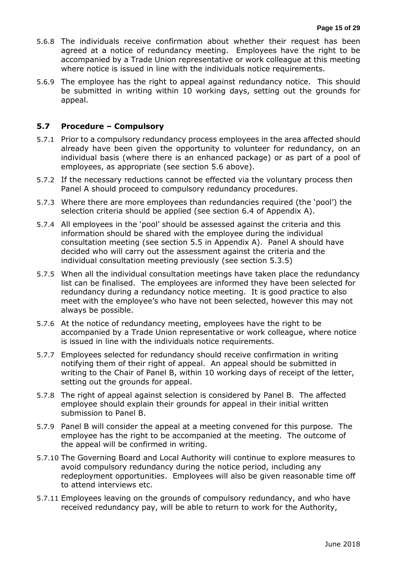- 5.6.8 The individuals receive confirmation about whether their request has been agreed at a notice of redundancy meeting. Employees have the right to be accompanied by a Trade Union representative or work colleague at this meeting where notice is issued in line with the individuals notice requirements.
- 5.6.9 The employee has the right to appeal against redundancy notice. This should be submitted in writing within 10 working days, setting out the grounds for appeal.

#### **5.7 Procedure – Compulsory**

- 5.7.1 Prior to a compulsory redundancy process employees in the area affected should already have been given the opportunity to volunteer for redundancy, on an individual basis (where there is an enhanced package) or as part of a pool of employees, as appropriate (see section 5.6 above).
- 5.7.2 If the necessary reductions cannot be effected via the voluntary process then Panel A should proceed to compulsory redundancy procedures.
- 5.7.3 Where there are more employees than redundancies required (the 'pool') the selection criteria should be applied (see section 6.4 of Appendix A).
- 5.7.4 All employees in the 'pool' should be assessed against the criteria and this information should be shared with the employee during the individual consultation meeting (see section 5.5 in Appendix A). Panel A should have decided who will carry out the assessment against the criteria and the individual consultation meeting previously (see section 5.3.5)
- 5.7.5 When all the individual consultation meetings have taken place the redundancy list can be finalised. The employees are informed they have been selected for redundancy during a redundancy notice meeting. It is good practice to also meet with the employee's who have not been selected, however this may not always be possible.
- 5.7.6 At the notice of redundancy meeting, employees have the right to be accompanied by a Trade Union representative or work colleague, where notice is issued in line with the individuals notice requirements.
- 5.7.7 Employees selected for redundancy should receive confirmation in writing notifying them of their right of appeal. An appeal should be submitted in writing to the Chair of Panel B, within 10 working days of receipt of the letter, setting out the grounds for appeal.
- 5.7.8 The right of appeal against selection is considered by Panel B. The affected employee should explain their grounds for appeal in their initial written submission to Panel B.
- 5.7.9 Panel B will consider the appeal at a meeting convened for this purpose. The employee has the right to be accompanied at the meeting. The outcome of the appeal will be confirmed in writing.
- 5.7.10 The Governing Board and Local Authority will continue to explore measures to avoid compulsory redundancy during the notice period, including any redeployment opportunities. Employees will also be given reasonable time off to attend interviews etc.
- 5.7.11 Employees leaving on the grounds of compulsory redundancy, and who have received redundancy pay, will be able to return to work for the Authority,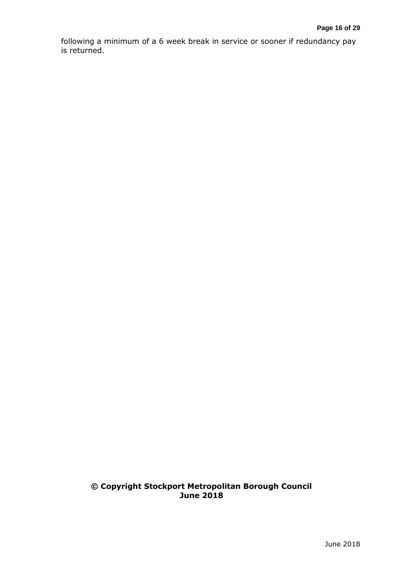following a minimum of a 6 week break in service or sooner if redundancy pay is returned.

#### **© Copyright Stockport Metropolitan Borough Council June 2018**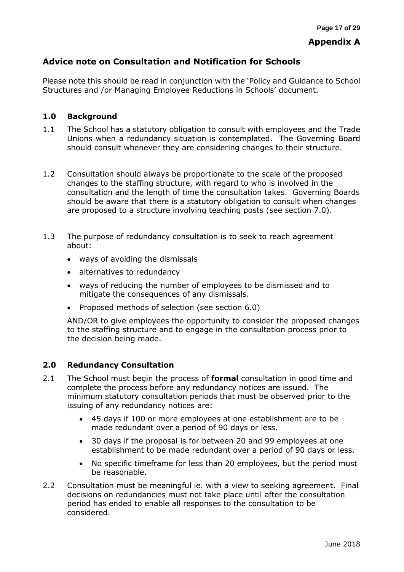### **Appendix A**

### **Advice note on Consultation and Notification for Schools**

Please note this should be read in conjunction with the 'Policy and Guidance to School Structures and /or Managing Employee Reductions in Schools' document.

#### **1.0 Background**

- 1.1 The School has a statutory obligation to consult with employees and the Trade Unions when a redundancy situation is contemplated. The Governing Board should consult whenever they are considering changes to their structure.
- 1.2 Consultation should always be proportionate to the scale of the proposed changes to the staffing structure, with regard to who is involved in the consultation and the length of time the consultation takes. Governing Boards should be aware that there is a statutory obligation to consult when changes are proposed to a structure involving teaching posts (see section 7.0).
- 1.3 The purpose of redundancy consultation is to seek to reach agreement about:
	- ways of avoiding the dismissals
	- alternatives to redundancy
	- ways of reducing the number of employees to be dismissed and to mitigate the consequences of any dismissals.
	- Proposed methods of selection (see section 6.0)

AND/OR to give employees the opportunity to consider the proposed changes to the staffing structure and to engage in the consultation process prior to the decision being made.

#### **2.0 Redundancy Consultation**

- 2.1 The School must begin the process of **formal** consultation in good time and complete the process before any redundancy notices are issued. The minimum statutory consultation periods that must be observed prior to the issuing of any redundancy notices are:
	- 45 days if 100 or more employees at one establishment are to be made redundant over a period of 90 days or less.
	- 30 days if the proposal is for between 20 and 99 employees at one establishment to be made redundant over a period of 90 days or less.
	- No specific timeframe for less than 20 employees, but the period must be reasonable.
- 2.2 Consultation must be meaningful ie. with a view to seeking agreement. Final decisions on redundancies must not take place until after the consultation period has ended to enable all responses to the consultation to be considered.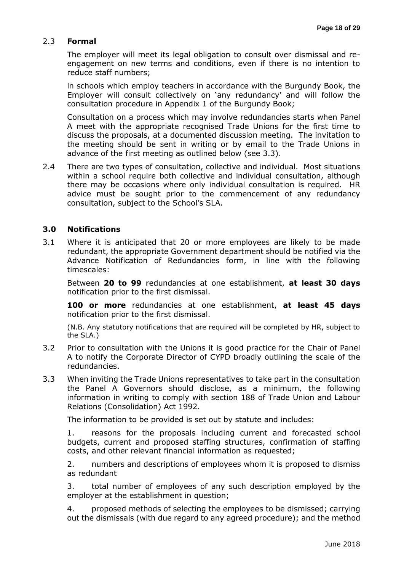#### 2.3 **Formal**

The employer will meet its legal obligation to consult over dismissal and reengagement on new terms and conditions, even if there is no intention to reduce staff numbers;

ln schools which employ teachers in accordance with the Burgundy Book, the Employer will consult collectively on 'any redundancy' and will follow the consultation procedure in Appendix 1 of the Burgundy Book;

Consultation on a process which may involve redundancies starts when Panel A meet with the appropriate recognised Trade Unions for the first time to discuss the proposals, at a documented discussion meeting. The invitation to the meeting should be sent in writing or by email to the Trade Unions in advance of the first meeting as outlined below (see 3.3).

2.4 There are two types of consultation, collective and individual. Most situations within a school require both collective and individual consultation, although there may be occasions where only individual consultation is required. HR advice must be sought prior to the commencement of any redundancy consultation, subject to the School's SLA.

#### **3.0 Notifications**

3.1 Where it is anticipated that 20 or more employees are likely to be made redundant, the appropriate Government department should be notified via the Advance Notification of Redundancies form, in line with the following timescales:

Between **20 to 99** redundancies at one establishment, **at least 30 days** notification prior to the first dismissal.

**100 or more** redundancies at one establishment, **at least 45 days** notification prior to the first dismissal.

(N.B. Any statutory notifications that are required will be completed by HR, subject to the SLA.)

- 3.2 Prior to consultation with the Unions it is good practice for the Chair of Panel A to notify the Corporate Director of CYPD broadly outlining the scale of the redundancies.
- 3.3 When inviting the Trade Unions representatives to take part in the consultation the Panel A Governors should disclose, as a minimum, the following information in writing to comply with section 188 of Trade Union and Labour Relations (Consolidation) Act 1992.

The information to be provided is set out by statute and includes:

1. reasons for the proposals including current and forecasted school budgets, current and proposed staffing structures, confirmation of staffing costs, and other relevant financial information as requested;

2. numbers and descriptions of employees whom it is proposed to dismiss as redundant

3. total number of employees of any such description employed by the employer at the establishment in question;

4. proposed methods of selecting the employees to be dismissed; carrying out the dismissals (with due regard to any agreed procedure); and the method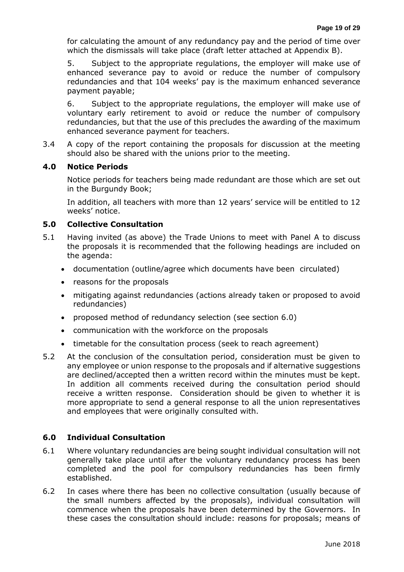for calculating the amount of any redundancy pay and the period of time over which the dismissals will take place (draft letter attached at Appendix B).

5. Subject to the appropriate regulations, the employer will make use of enhanced severance pay to avoid or reduce the number of compulsory redundancies and that 104 weeks' pay is the maximum enhanced severance payment payable;

6. Subject to the appropriate regulations, the employer will make use of voluntary early retirement to avoid or reduce the number of compulsory redundancies, but that the use of this precludes the awarding of the maximum enhanced severance payment for teachers.

3.4 A copy of the report containing the proposals for discussion at the meeting should also be shared with the unions prior to the meeting.

#### **4.0 Notice Periods**

Notice periods for teachers being made redundant are those which are set out in the Burgundy Book;

In addition, all teachers with more than 12 years' service will be entitled to 12 weeks' notice.

#### **5.0 Collective Consultation**

- 5.1 Having invited (as above) the Trade Unions to meet with Panel A to discuss the proposals it is recommended that the following headings are included on the agenda:
	- documentation (outline/agree which documents have been circulated)
	- reasons for the proposals
	- mitigating against redundancies (actions already taken or proposed to avoid redundancies)
	- proposed method of redundancy selection (see section 6.0)
	- communication with the workforce on the proposals
	- timetable for the consultation process (seek to reach agreement)
- 5.2 At the conclusion of the consultation period, consideration must be given to any employee or union response to the proposals and if alternative suggestions are declined/accepted then a written record within the minutes must be kept. In addition all comments received during the consultation period should receive a written response. Consideration should be given to whether it is more appropriate to send a general response to all the union representatives and employees that were originally consulted with.

#### **6.0 Individual Consultation**

- 6.1 Where voluntary redundancies are being sought individual consultation will not generally take place until after the voluntary redundancy process has been completed and the pool for compulsory redundancies has been firmly established.
- 6.2 In cases where there has been no collective consultation (usually because of the small numbers affected by the proposals), individual consultation will commence when the proposals have been determined by the Governors. In these cases the consultation should include: reasons for proposals; means of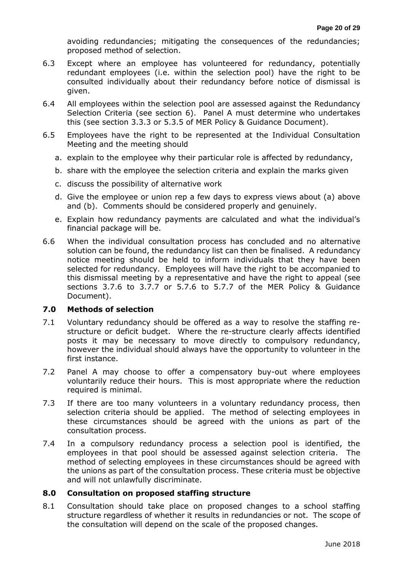avoiding redundancies; mitigating the consequences of the redundancies; proposed method of selection.

- 6.3 Except where an employee has volunteered for redundancy, potentially redundant employees (i.e. within the selection pool) have the right to be consulted individually about their redundancy before notice of dismissal is given.
- 6.4 All employees within the selection pool are assessed against the Redundancy Selection Criteria (see section 6). Panel A must determine who undertakes this (see section 3.3.3 or 5.3.5 of MER Policy & Guidance Document).
- 6.5 Employees have the right to be represented at the Individual Consultation Meeting and the meeting should
	- a. explain to the employee why their particular role is affected by redundancy,
	- b. share with the employee the selection criteria and explain the marks given
	- c. discuss the possibility of alternative work
	- d. Give the employee or union rep a few days to express views about (a) above and (b). Comments should be considered properly and genuinely.
	- e. Explain how redundancy payments are calculated and what the individual's financial package will be.
- 6.6 When the individual consultation process has concluded and no alternative solution can be found, the redundancy list can then be finalised.A redundancy notice meeting should be held to inform individuals that they have been selected for redundancy. Employees will have the right to be accompanied to this dismissal meeting by a representative and have the right to appeal (see sections 3.7.6 to 3.7.7 or 5.7.6 to 5.7.7 of the MER Policy & Guidance Document).

#### **7.0 Methods of selection**

- 7.1 Voluntary redundancy should be offered as a way to resolve the staffing restructure or deficit budget. Where the re-structure clearly affects identified posts it may be necessary to move directly to compulsory redundancy, however the individual should always have the opportunity to volunteer in the first instance.
- 7.2 Panel A may choose to offer a compensatory buy-out where employees voluntarily reduce their hours. This is most appropriate where the reduction required is minimal.
- 7.3 If there are too many volunteers in a voluntary redundancy process, then selection criteria should be applied. The method of selecting employees in these circumstances should be agreed with the unions as part of the consultation process.
- 7.4 In a compulsory redundancy process a selection pool is identified, the employees in that pool should be assessed against selection criteria. The method of selecting employees in these circumstances should be agreed with the unions as part of the consultation process. These criteria must be objective and will not unlawfully discriminate.

#### **8.0 Consultation on proposed staffing structure**

8.1 Consultation should take place on proposed changes to a school staffing structure regardless of whether it results in redundancies or not. The scope of the consultation will depend on the scale of the proposed changes.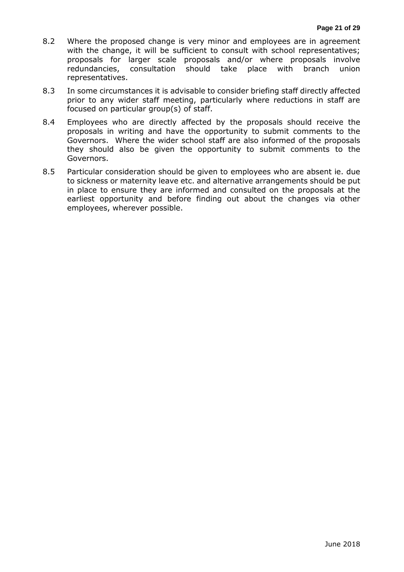- 8.2 Where the proposed change is very minor and employees are in agreement with the change, it will be sufficient to consult with school representatives; proposals for larger scale proposals and/or where proposals involve redundancies, consultation should take place with branch union representatives.
- 8.3 In some circumstances it is advisable to consider briefing staff directly affected prior to any wider staff meeting, particularly where reductions in staff are focused on particular group(s) of staff.
- 8.4 Employees who are directly affected by the proposals should receive the proposals in writing and have the opportunity to submit comments to the Governors. Where the wider school staff are also informed of the proposals they should also be given the opportunity to submit comments to the Governors.
- 8.5 Particular consideration should be given to employees who are absent ie. due to sickness or maternity leave etc. and alternative arrangements should be put in place to ensure they are informed and consulted on the proposals at the earliest opportunity and before finding out about the changes via other employees, wherever possible.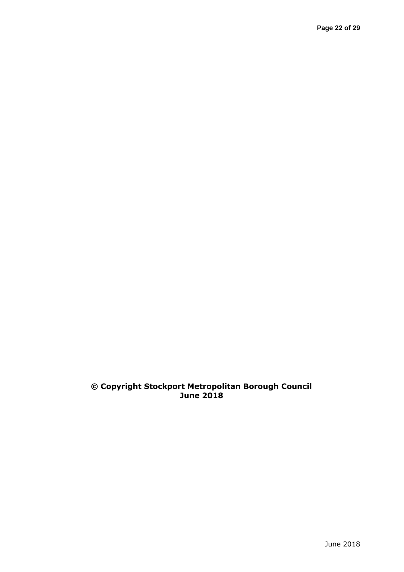### **© Copyright Stockport Metropolitan Borough Council June 2018**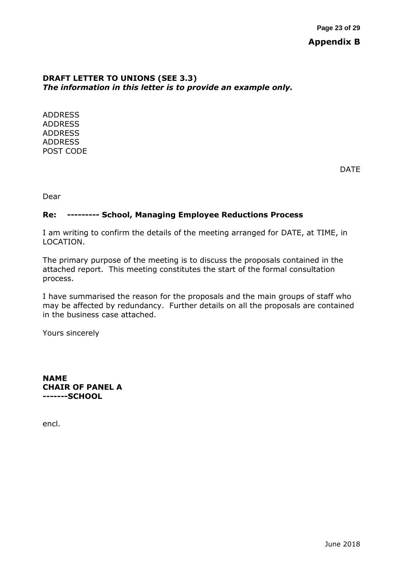#### **DRAFT LETTER TO UNIONS (SEE 3.3)** *The information in this letter is to provide an example only.*

ADDRESS ADDRESS ADDRESS ADDRESS POST CODE

DATE

Dear

#### **Re: --------- School, Managing Employee Reductions Process**

I am writing to confirm the details of the meeting arranged for DATE, at TIME, in LOCATION.

The primary purpose of the meeting is to discuss the proposals contained in the attached report. This meeting constitutes the start of the formal consultation process.

I have summarised the reason for the proposals and the main groups of staff who may be affected by redundancy. Further details on all the proposals are contained in the business case attached.

Yours sincerely

**NAME CHAIR OF PANEL A -------SCHOOL**

encl.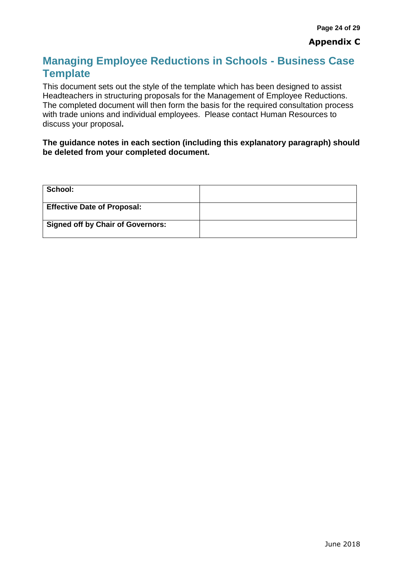## **Managing Employee Reductions in Schools - Business Case Template**

This document sets out the style of the template which has been designed to assist Headteachers in structuring proposals for the Management of Employee Reductions. The completed document will then form the basis for the required consultation process with trade unions and individual employees. Please contact Human Resources to discuss your proposal**.** 

#### **The guidance notes in each section (including this explanatory paragraph) should be deleted from your completed document.**

| School:                                  |  |
|------------------------------------------|--|
| <b>Effective Date of Proposal:</b>       |  |
| <b>Signed off by Chair of Governors:</b> |  |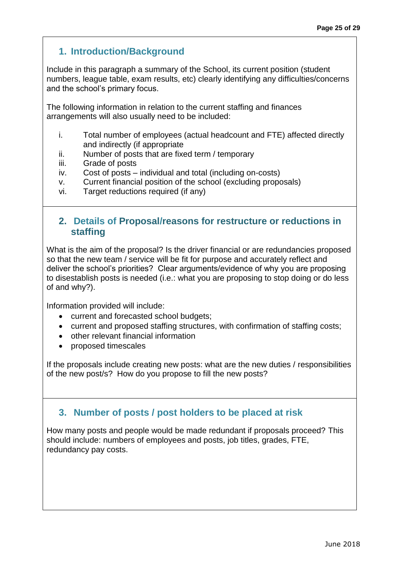### **1. Introduction/Background**

Include in this paragraph a summary of the School, its current position (student numbers, league table, exam results, etc) clearly identifying any difficulties/concerns and the school's primary focus.

The following information in relation to the current staffing and finances arrangements will also usually need to be included:

- i. Total number of employees (actual headcount and FTE) affected directly and indirectly (if appropriate
- ii. Number of posts that are fixed term / temporary
- iii. Grade of posts
- iv. Cost of posts individual and total (including on-costs)
- v. Current financial position of the school (excluding proposals)
- vi. Target reductions required (if any)

### **2. Details of Proposal/reasons for restructure or reductions in staffing**

What is the aim of the proposal? Is the driver financial or are redundancies proposed so that the new team / service will be fit for purpose and accurately reflect and deliver the school's priorities? Clear arguments/evidence of why you are proposing to disestablish posts is needed (i.e.: what you are proposing to stop doing or do less of and why?).

Information provided will include:

- current and forecasted school budgets;
- current and proposed staffing structures, with confirmation of staffing costs;
- other relevant financial information
- proposed timescales

If the proposals include creating new posts: what are the new duties / responsibilities of the new post/s? How do you propose to fill the new posts?

### **3. Number of posts / post holders to be placed at risk**

How many posts and people would be made redundant if proposals proceed? This should include: numbers of employees and posts, job titles, grades, FTE, redundancy pay costs.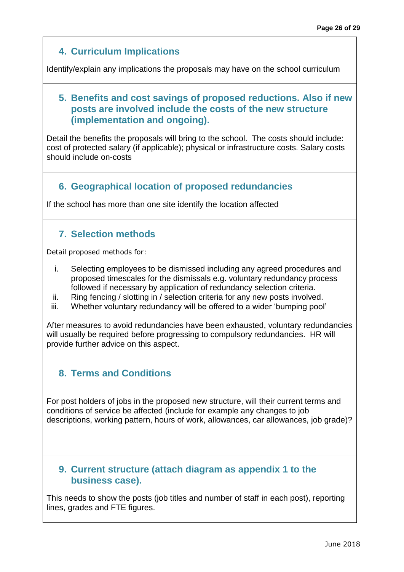### **4. Curriculum Implications**

Identify/explain any implications the proposals may have on the school curriculum

### **5. Benefits and cost savings of proposed reductions. Also if new posts are involved include the costs of the new structure (implementation and ongoing).**

Detail the benefits the proposals will bring to the school. The costs should include: cost of protected salary (if applicable); physical or infrastructure costs. Salary costs should include on-costs

### **6. Geographical location of proposed redundancies**

If the school has more than one site identify the location affected

### **7. Selection methods**

Detail proposed methods for:

- i. Selecting employees to be dismissed including any agreed procedures and proposed timescales for the dismissals e.g. voluntary redundancy process followed if necessary by application of redundancy selection criteria.
- ii. Ring fencing / slotting in / selection criteria for any new posts involved.
- iii. Whether voluntary redundancy will be offered to a wider 'bumping pool'

After measures to avoid redundancies have been exhausted, voluntary redundancies will usually be required before progressing to compulsory redundancies. HR will provide further advice on this aspect.

### **8. Terms and Conditions**

For post holders of jobs in the proposed new structure, will their current terms and conditions of service be affected (include for example any changes to job descriptions, working pattern, hours of work, allowances, car allowances, job grade)?

### **9. Current structure (attach diagram as appendix 1 to the business case).**

This needs to show the posts (job titles and number of staff in each post), reporting lines, grades and FTE figures.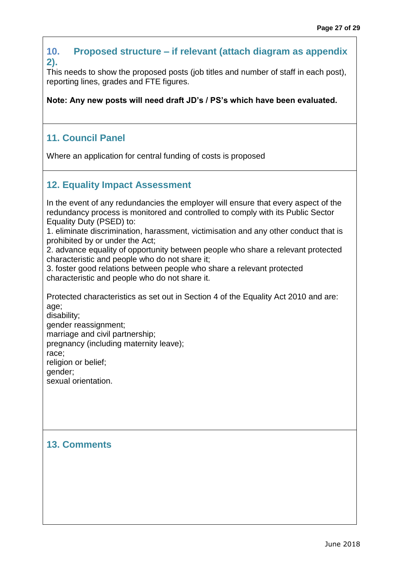### **10. Proposed structure – if relevant (attach diagram as appendix 2).**

This needs to show the proposed posts (job titles and number of staff in each post), reporting lines, grades and FTE figures.

**Note: Any new posts will need draft JD's / PS's which have been evaluated.** 

### **11. Council Panel**

Where an application for central funding of costs is proposed

### **12. Equality Impact Assessment**

In the event of any redundancies the employer will ensure that every aspect of the redundancy process is monitored and controlled to comply with its Public Sector Equality Duty (PSED) to:

1. eliminate discrimination, harassment, victimisation and any other conduct that is prohibited by or under the Act;

2. advance equality of opportunity between people who share a relevant protected characteristic and people who do not share it;

3. foster good relations between people who share a relevant protected characteristic and people who do not share it.

Protected characteristics as set out in Section 4 of the Equality Act 2010 and are: age;

disability; gender reassignment; marriage and civil partnership; pregnancy (including maternity leave); race;

religion or belief;

gender; sexual orientation.

### **13. Comments**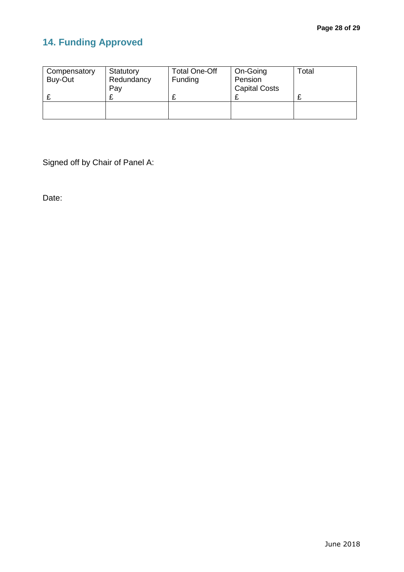# **14. Funding Approved**

| Compensatory<br>Buy-Out | Statutory<br>Redundancy<br>Pay | <b>Total One-Off</b><br>Funding | On-Going<br>Pension<br><b>Capital Costs</b> | Total |
|-------------------------|--------------------------------|---------------------------------|---------------------------------------------|-------|
|                         |                                |                                 |                                             |       |
|                         |                                |                                 |                                             |       |

Signed off by Chair of Panel A:

Date: